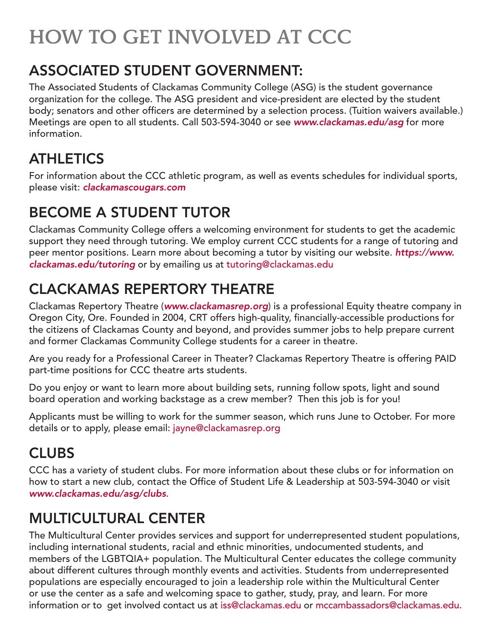# HOW TO GET INVOLVED AT CCC

#### ASSOCIATED STUDENT GOVERNMENT:

The Associated Students of Clackamas Community College (ASG) is the student governance organization for the college. The ASG president and vice-president are elected by the student body; senators and other officers are determined by a selection process. (Tuition waivers available.) Meetings are open to all students. Call 503-594-3040 or see *www.clackamas.edu/asg* for more information.

# **ATHLETICS**

For information about the CCC athletic program, as well as events schedules for individual sports, please visit: *[clackamascougars.com](http://clackamascougars.com)*

# BECOME A STUDENT TUTOR

Clackamas Community College offers a welcoming environment for students to get the academic support they need through tutoring. We employ current CCC students for a range of tutoring and peer mentor positions. Learn more about becoming a tutor by visiting our website. *[https://www.](https://www.clackamas.edu/tutoring) [clackamas.edu/tutoring](https://www.clackamas.edu/tutoring)* or by emailing us at tutoring@clackamas.edu

# CLACKAMAS REPERTORY THEATRE

Clackamas Repertory Theatre (*[www.clackamasrep.org](http://www.clackamasrep.org)*) is a professional Equity theatre company in Oregon City, Ore. Founded in 2004, CRT offers high-quality, financially-accessible productions for the citizens of Clackamas County and beyond, and provides summer jobs to help prepare current and former Clackamas Community College students for a career in theatre.

Are you ready for a Professional Career in Theater? Clackamas Repertory Theatre is offering PAID part-time positions for CCC theatre arts students.

Do you enjoy or want to learn more about building sets, running follow spots, light and sound board operation and working backstage as a crew member? Then this job is for you!

Applicants must be willing to work for the summer season, which runs June to October. For more details or to apply, please email: jayne@clackamasrep.org

## **CLUBS**

CCC has a variety of student clubs. For more information about these clubs or for information on how to start a new club, contact the Office of Student Life & Leadership at 503-594-3040 or visit *[www.clackamas.edu/asg/clubs](http://www.clackamas.edu/asg/clubs)*.

## MULTICULTURAL CENTER

The Multicultural Center provides services and support for underrepresented student populations, including international students, racial and ethnic minorities, undocumented students, and members of the LGBTQIA+ population. The Multicultural Center educates the college community about different cultures through monthly events and activities. Students from underrepresented populations are especially encouraged to join a leadership role within the Multicultural Center or use the center as a safe and welcoming space to gather, study, pray, and learn. For more information or to get involved contact us at iss@clackamas.edu or mccambassadors@clackamas.edu.